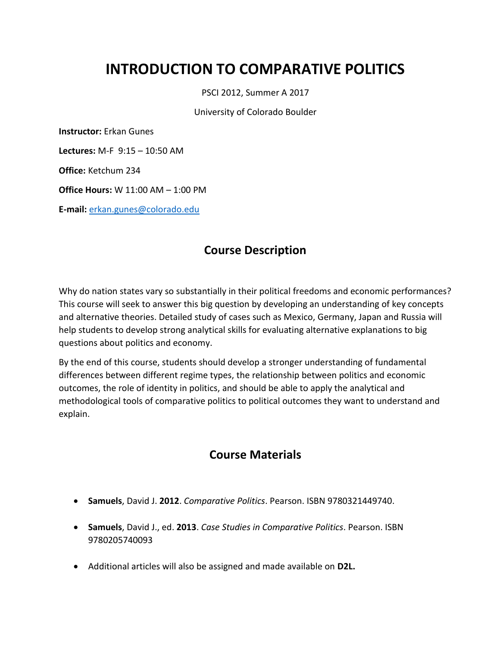# **INTRODUCTION TO COMPARATIVE POLITICS**

PSCI 2012, Summer A 2017

University of Colorado Boulder

**Instructor:** Erkan Gunes

**Lectures:** M-F 9:15 – 10:50 AM

**Office:** Ketchum 234

**Office Hours:** W 11:00 AM – 1:00 PM

**E-mail:** [erkan.gunes@colorado.edu](mailto:erkan.gunes@colorado.edu)

## **Course Description**

Why do nation states vary so substantially in their political freedoms and economic performances? This course will seek to answer this big question by developing an understanding of key concepts and alternative theories. Detailed study of cases such as Mexico, Germany, Japan and Russia will help students to develop strong analytical skills for evaluating alternative explanations to big questions about politics and economy.

By the end of this course, students should develop a stronger understanding of fundamental differences between different regime types, the relationship between politics and economic outcomes, the role of identity in politics, and should be able to apply the analytical and methodological tools of comparative politics to political outcomes they want to understand and explain.

## **Course Materials**

- **Samuels**, David J. **2012**. *Comparative Politics*. Pearson. ISBN 9780321449740.
- **Samuels**, David J., ed. **2013**. *Case Studies in Comparative Politics*. Pearson. ISBN 9780205740093
- Additional articles will also be assigned and made available on **D2L.**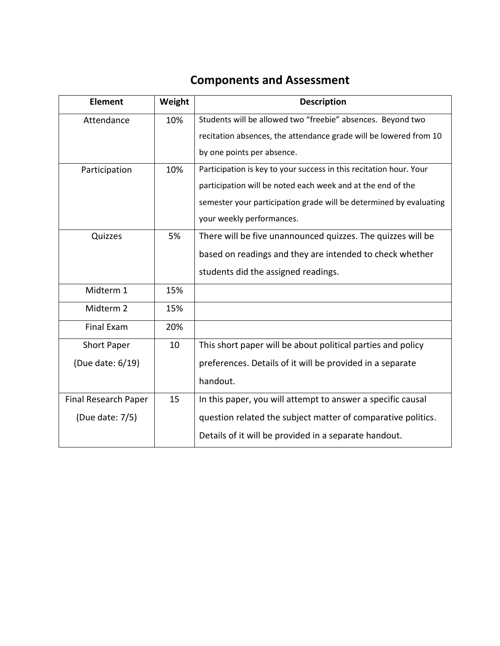# **Components and Assessment**

| <b>Element</b>       | Weight | <b>Description</b>                                                 |
|----------------------|--------|--------------------------------------------------------------------|
| Attendance           | 10%    | Students will be allowed two "freebie" absences. Beyond two        |
|                      |        | recitation absences, the attendance grade will be lowered from 10  |
|                      |        | by one points per absence.                                         |
| 10%<br>Participation |        | Participation is key to your success in this recitation hour. Your |
|                      |        | participation will be noted each week and at the end of the        |
|                      |        | semester your participation grade will be determined by evaluating |
|                      |        | your weekly performances.                                          |
| Quizzes              | 5%     | There will be five unannounced quizzes. The quizzes will be        |
|                      |        | based on readings and they are intended to check whether           |
|                      |        | students did the assigned readings.                                |
| Midterm 1            | 15%    |                                                                    |
| Midterm 2            | 15%    |                                                                    |
| <b>Final Exam</b>    | 20%    |                                                                    |
| <b>Short Paper</b>   | 10     | This short paper will be about political parties and policy        |
| (Due date: 6/19)     |        | preferences. Details of it will be provided in a separate          |
|                      |        | handout.                                                           |
| Final Research Paper | 15     | In this paper, you will attempt to answer a specific causal        |
| (Due date: 7/5)      |        | question related the subject matter of comparative politics.       |
|                      |        | Details of it will be provided in a separate handout.              |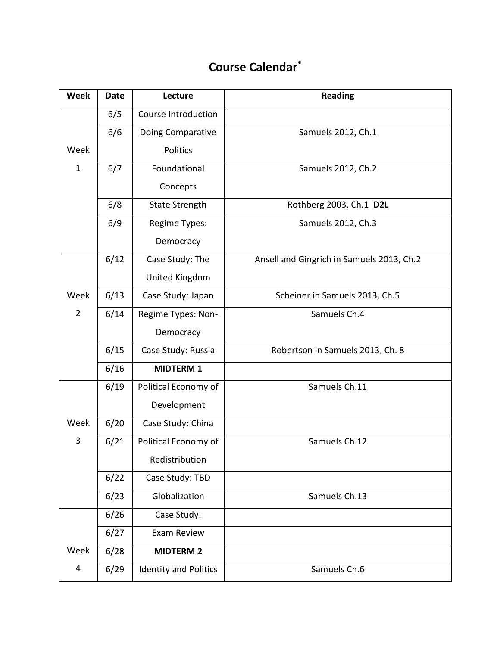# **Course Calendar\***

| <b>Week</b>    | <b>Date</b> | Lecture                      | <b>Reading</b>                            |
|----------------|-------------|------------------------------|-------------------------------------------|
|                | 6/5         | Course Introduction          |                                           |
|                | 6/6         | Doing Comparative            | Samuels 2012, Ch.1                        |
| Week           |             | <b>Politics</b>              |                                           |
| $\mathbf{1}$   | 6/7         | Foundational                 | Samuels 2012, Ch.2                        |
|                |             | Concepts                     |                                           |
|                | 6/8         | <b>State Strength</b>        | Rothberg 2003, Ch.1 D2L                   |
|                | 6/9         | Regime Types:                | Samuels 2012, Ch.3                        |
|                |             | Democracy                    |                                           |
|                | 6/12        | Case Study: The              | Ansell and Gingrich in Samuels 2013, Ch.2 |
|                |             | United Kingdom               |                                           |
| Week           | 6/13        | Case Study: Japan            | Scheiner in Samuels 2013, Ch.5            |
| $\overline{2}$ | 6/14        | Regime Types: Non-           | Samuels Ch.4                              |
|                |             | Democracy                    |                                           |
|                | 6/15        | Case Study: Russia           | Robertson in Samuels 2013, Ch. 8          |
|                | 6/16        | <b>MIDTERM 1</b>             |                                           |
|                | 6/19        | Political Economy of         | Samuels Ch.11                             |
|                |             | Development                  |                                           |
| Week           | 6/20        | Case Study: China            |                                           |
| 3              | 6/21        | Political Economy of         | Samuels Ch.12                             |
|                |             | Redistribution               |                                           |
|                | 6/22        | Case Study: TBD              |                                           |
|                | 6/23        | Globalization                | Samuels Ch.13                             |
|                | 6/26        | Case Study:                  |                                           |
|                | 6/27        | Exam Review                  |                                           |
| Week           | 6/28        | <b>MIDTERM 2</b>             |                                           |
| 4              | 6/29        | <b>Identity and Politics</b> | Samuels Ch.6                              |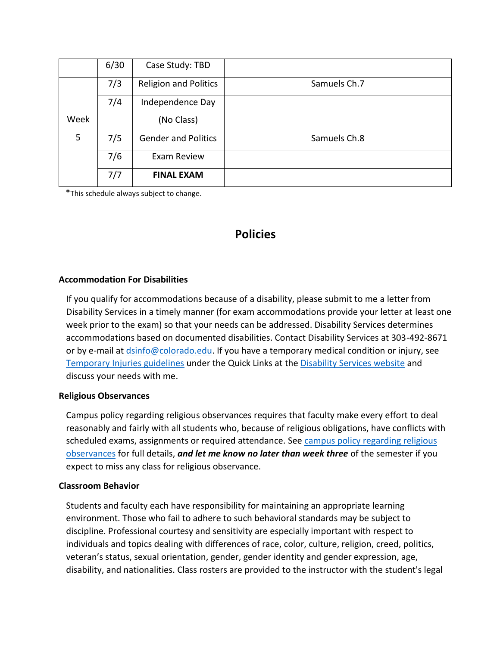|      | 6/30 | Case Study: TBD              |              |
|------|------|------------------------------|--------------|
|      | 7/3  | <b>Religion and Politics</b> | Samuels Ch.7 |
|      | 7/4  | Independence Day             |              |
| Week |      | (No Class)                   |              |
| 5    | 7/5  | <b>Gender and Politics</b>   | Samuels Ch.8 |
|      | 7/6  | Exam Review                  |              |
|      | 7/7  | <b>FINAL EXAM</b>            |              |

\*This schedule always subject to change.

### **Policies**

#### **Accommodation For Disabilities**

If you qualify for accommodations because of a disability, please submit to me a letter from Disability Services in a timely manner (for exam accommodations provide your letter at least one week prior to the exam) so that your needs can be addressed. Disability Services determines accommodations based on documented disabilities. Contact Disability Services at 303-492-8671 or by e-mail at [dsinfo@colorado.edu.](mailto:dsinfo@colorado.edu) If you have a temporary medical condition or injury, see [Temporary Injuries guidelines](http://www.alumniconnections.com/links/link.cgi?l=6681985&h=137433&e=UCBI-20150813152414) under the Quick Links at the [Disability Services website](http://www.alumniconnections.com/links/link.cgi?l=6681986&h=137433&e=UCBI-20150813152414) and discuss your needs with me.

#### **Religious Observances**

Campus policy regarding religious observances requires that faculty make every effort to deal reasonably and fairly with all students who, because of religious obligations, have conflicts with scheduled exams, assignments or required attendance. See campus policy regarding religious [observances](http://www.alumniconnections.com/links/link.cgi?l=6681989&h=137433&e=UCBI-20150813152414http://www.alumniconnections.com/links/link.cgi?l=6681989&h=137433&e=UCBI-20150813152414) for full details, *and let me know no later than week three* of the semester if you expect to miss any class for religious observance.

#### **Classroom Behavior**

Students and faculty each have responsibility for maintaining an appropriate learning environment. Those who fail to adhere to such behavioral standards may be subject to discipline. Professional courtesy and sensitivity are especially important with respect to individuals and topics dealing with differences of race, color, culture, religion, creed, politics, veteran's status, sexual orientation, gender, gender identity and gender expression, age, disability, and nationalities. Class rosters are provided to the instructor with the student's legal